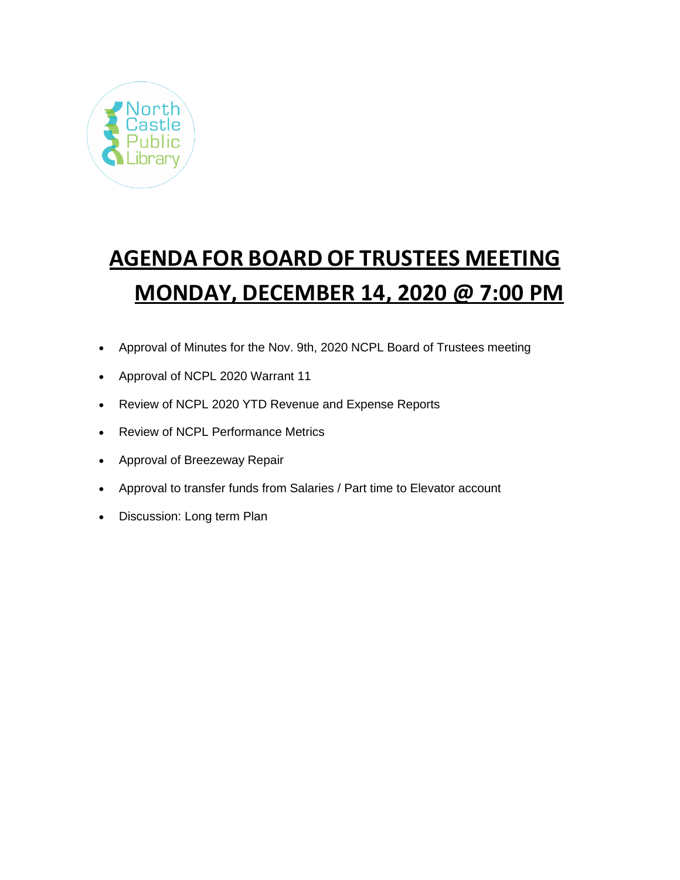

# **AGENDA FOR BOARD OF TRUSTEES MEETING MONDAY, DECEMBER 14, 2020 @ 7:00 PM**

- Approval of Minutes for the Nov. 9th, 2020 NCPL Board of Trustees meeting
- Approval of NCPL 2020 Warrant 11
- Review of NCPL 2020 YTD Revenue and Expense Reports
- Review of NCPL Performance Metrics
- Approval of Breezeway Repair
- Approval to transfer funds from Salaries / Part time to Elevator account
- Discussion: Long term Plan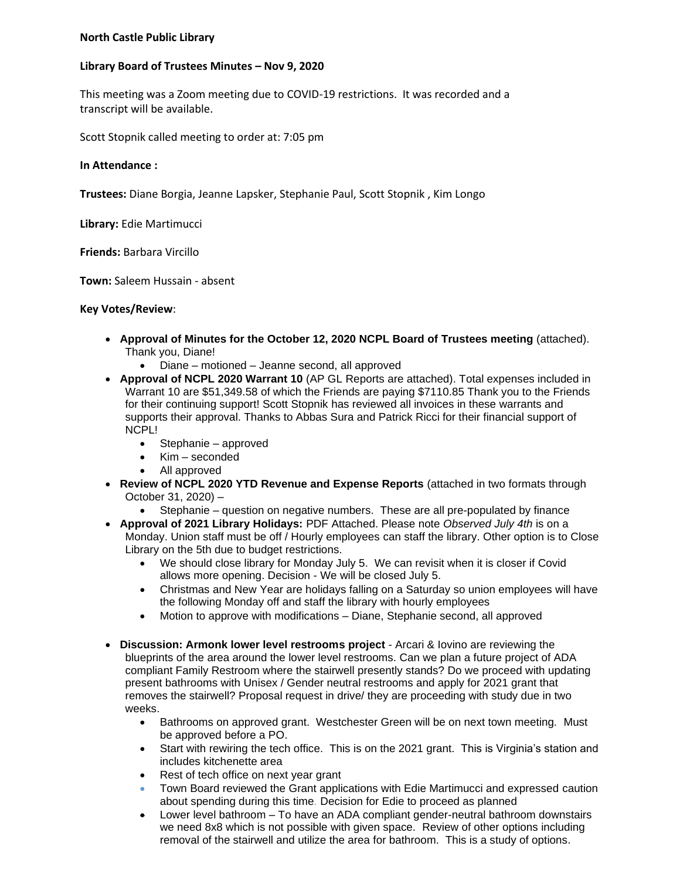## **North Castle Public Library**

## **Library Board of Trustees Minutes – Nov 9, 2020**

This meeting was a Zoom meeting due to COVID-19 restrictions. It was recorded and a transcript will be available.

Scott Stopnik called meeting to order at: 7:05 pm

### **In Attendance :**

**Trustees:** Diane Borgia, Jeanne Lapsker, Stephanie Paul, Scott Stopnik , Kim Longo

**Library:** Edie Martimucci

**Friends:** Barbara Vircillo

**Town:** Saleem Hussain - absent

## **Key Votes/Review**:

- **Approval of Minutes for the October 12, 2020 NCPL Board of Trustees meeting** (attached). Thank you, Diane!
	- Diane motioned Jeanne second, all approved
- **Approval of NCPL 2020 Warrant 10** (AP GL Reports are attached). Total expenses included in Warrant 10 are \$51,349.58 of which the Friends are paying \$7110.85 Thank you to the Friends for their continuing support! Scott Stopnik has reviewed all invoices in these warrants and supports their approval. Thanks to Abbas Sura and Patrick Ricci for their financial support of NCPL!
	- Stephanie approved
	- Kim seconded
	- All approved
- **Review of NCPL 2020 YTD Revenue and Expense Reports** (attached in two formats through October 31, 2020) –
	- Stephanie question on negative numbers. These are all pre-populated by finance
- **Approval of 2021 Library Holidays:** PDF Attached. Please note *Observed July 4th* is on a Monday. Union staff must be off / Hourly employees can staff the library. Other option is to Close Library on the 5th due to budget restrictions.
	- We should close library for Monday July 5. We can revisit when it is closer if Covid allows more opening. Decision - We will be closed July 5.
	- Christmas and New Year are holidays falling on a Saturday so union employees will have the following Monday off and staff the library with hourly employees
	- Motion to approve with modifications Diane, Stephanie second, all approved
- **Discussion: Armonk lower level restrooms project** Arcari & Iovino are reviewing the blueprints of the area around the lower level restrooms. Can we plan a future project of ADA compliant Family Restroom where the stairwell presently stands? Do we proceed with updating present bathrooms with Unisex / Gender neutral restrooms and apply for 2021 grant that removes the stairwell? Proposal request in drive/ they are proceeding with study due in two weeks.
	- Bathrooms on approved grant. Westchester Green will be on next town meeting. Must be approved before a PO.
	- Start with rewiring the tech office. This is on the 2021 grant. This is Virginia's station and includes kitchenette area
	- Rest of tech office on next year grant
	- Town Board reviewed the Grant applications with Edie Martimucci and expressed caution about spending during this time*.* Decision for Edie to proceed as planned
	- Lower level bathroom To have an ADA compliant gender-neutral bathroom downstairs we need 8x8 which is not possible with given space. Review of other options including removal of the stairwell and utilize the area for bathroom. This is a study of options.